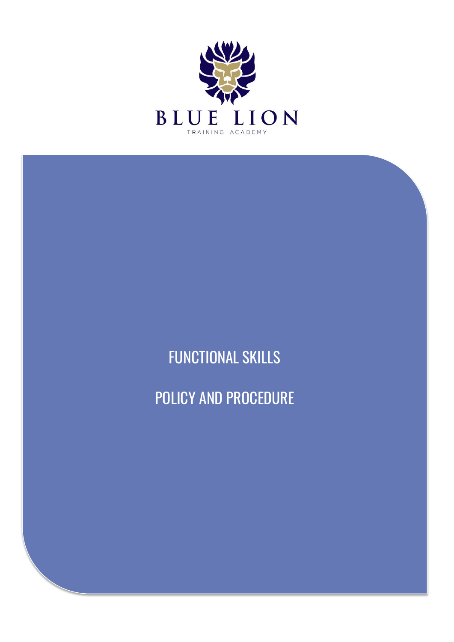

FUNCTIONAL SKILLS POLICY AND PROCEDURE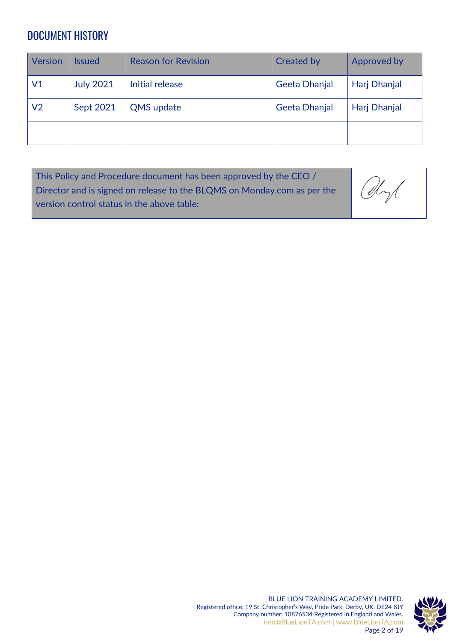# <span id="page-1-0"></span>DOCUMENT HISTORY

| Version  | <b>Issued</b>    | <b>Reason for Revision</b> | <b>Created by</b> | Approved by  |
|----------|------------------|----------------------------|-------------------|--------------|
| $\vee 1$ | <b>July 2021</b> | Initial release            | Geeta Dhanjal     | Harj Dhanjal |
| V2       | Sept 2021        | <b>QMS</b> update          | Geeta Dhanjal     | Harj Dhanjal |
|          |                  |                            |                   |              |

| This Policy and Procedure document has been approved by the CEO $/$     |      |
|-------------------------------------------------------------------------|------|
| Director and is signed on release to the BLQMS on Monday.com as per the | Obyl |
| version control status in the above table:                              |      |

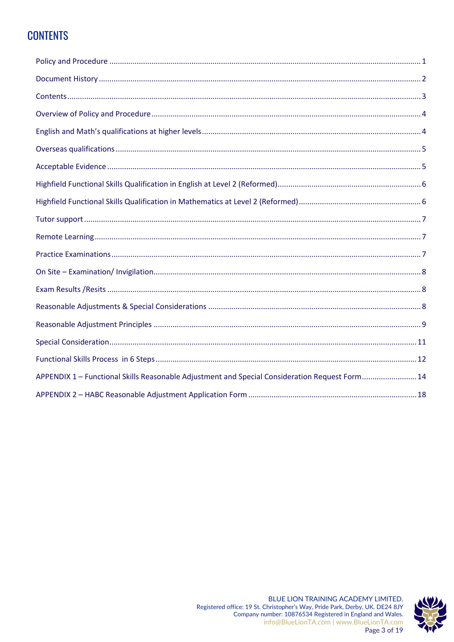# <span id="page-2-0"></span>**CONTENTS**

| APPENDIX 1 - Functional Skills Reasonable Adjustment and Special Consideration Request Form 14 |  |
|------------------------------------------------------------------------------------------------|--|
|                                                                                                |  |

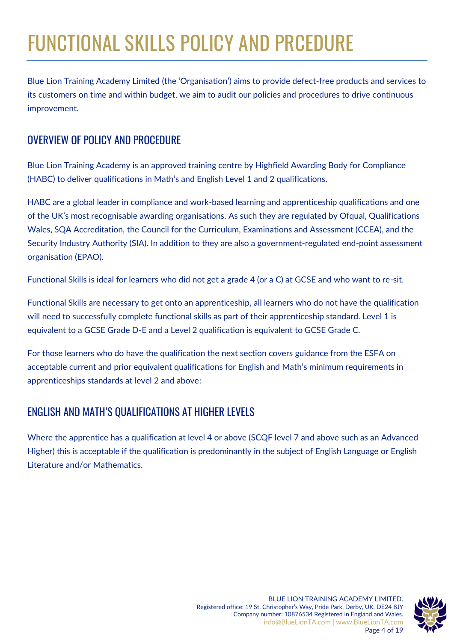# FUNCTIONAL SKILLS POLICY AND PRCEDURE

Blue Lion Training Academy Limited (the 'Organisation') aims to provide defect-free products and services to its customers on time and within budget, we aim to audit our policies and procedures to drive continuous improvement.

# <span id="page-3-0"></span>OVERVIEW OF POLICY AND PROCEDURE

Blue Lion Training Academy is an approved training centre by Highfield Awarding Body for Compliance (HABC) to deliver qualifications in Math's and English Level 1 and 2 qualifications.

HABC are a global leader in compliance and work-based learning and apprenticeship qualifications and one of the UK's most recognisable awarding organisations. As such they are regulated by Ofqual, Qualifications Wales, SQA Accreditation, the Council for the Curriculum, Examinations and Assessment (CCEA), and the Security Industry Authority (SIA). In addition to they are also a government-regulated end-point assessment organisation (EPAO).

Functional Skills is ideal for learners who did not get a grade 4 (or a C) at GCSE and who want to re-sit.

Functional Skills are necessary to get onto an apprenticeship, all learners who do not have the qualification will need to successfully complete functional skills as part of their apprenticeship standard. Level 1 is equivalent to a GCSE Grade D-E and a Level 2 qualification is equivalent to GCSE Grade C.

For those learners who do have the qualification the next section covers guidance from the ESFA on acceptable current and prior equivalent qualifications for English and Math's minimum requirements in apprenticeships standards at level 2 and above:

# <span id="page-3-1"></span>ENGLISH AND MATH'S QUALIFICATIONS AT HIGHER LEVELS

<span id="page-3-2"></span>Where the apprentice has a qualification at level 4 or above (SCQF level 7 and above such as an Advanced Higher) this is acceptable if the qualification is predominantly in the subject of English Language or English Literature and/or Mathematics.

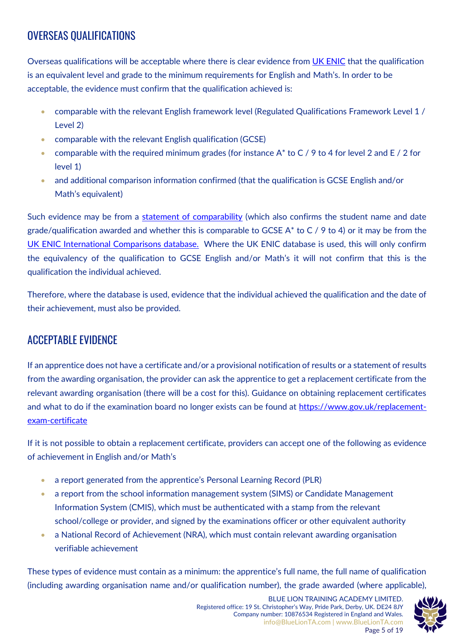# OVERSEAS QUALIFICATIONS

Overseas qualifications will be acceptable where there is clear evidence from [UK ENIC](https://www.enic.org.uk/) that the qualification is an equivalent level and grade to the minimum requirements for English and Math's. In order to be acceptable, the evidence must confirm that the qualification achieved is:

- comparable with the relevant English framework level (Regulated Qualifications Framework Level 1 / Level 2)
- comparable with the relevant English qualification (GCSE)
- comparable with the required minimum grades (for instance  $A^*$  to C / 9 to 4 for level 2 and E / 2 for level 1)
- and additional comparison information confirmed (that the qualification is GCSE English and/or Math's equivalent)

Such evidence may be from a [statement of comparability](https://www.enic.org.uk/Qualifications/SoC/Default.aspx) (which also confirms the student name and date grade/qualification awarded and whether this is comparable to GCSE  $A^*$  to C / 9 to 4) or it may be from the [UK ENIC International Comparisons database.](https://www.ecctis.com/Agencies/Online%20Databases/Default.aspx) Where the UK ENIC database is used, this will only confirm the equivalency of the qualification to GCSE English and/or Math's it will not confirm that this is the qualification the individual achieved.

Therefore, where the database is used, evidence that the individual achieved the qualification and the date of their achievement, must also be provided.

### <span id="page-4-0"></span>ACCEPTABLE EVIDENCE

If an apprentice does not have a certificate and/or a provisional notification of results or a statement of results from the awarding organisation, the provider can ask the apprentice to get a replacement certificate from the relevant awarding organisation (there will be a cost for this). Guidance on obtaining replacement certificates and what to do if the examination board no longer exists can be found at [https://www.gov.uk/replacement](https://www.gov.uk/replacement-exam-certificate)[exam-certificate](https://www.gov.uk/replacement-exam-certificate)

If it is not possible to obtain a replacement certificate, providers can accept one of the following as evidence of achievement in English and/or Math's

- a report generated from the apprentice's Personal Learning Record (PLR)
- a report from the school information management system (SIMS) or Candidate Management Information System (CMIS), which must be authenticated with a stamp from the relevant school/college or provider, and signed by the examinations officer or other equivalent authority
- a National Record of Achievement (NRA), which must contain relevant awarding organisation verifiable achievement

These types of evidence must contain as a minimum: the apprentice's full name, the full name of qualification (including awarding organisation name and/or qualification number), the grade awarded (where applicable),

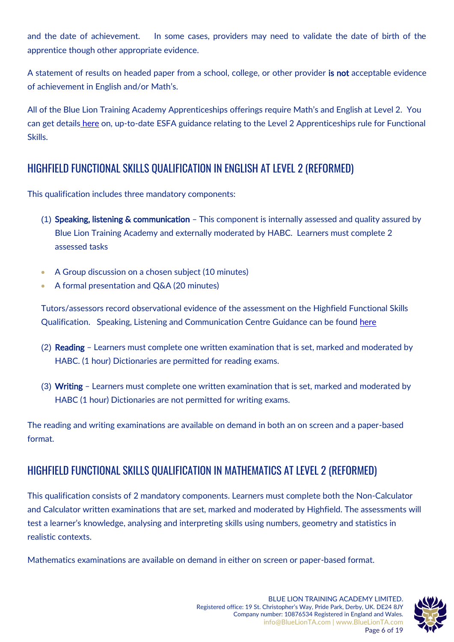and the date of achievement. In some cases, providers may need to validate the date of birth of the apprentice though other appropriate evidence.

A statement of results on headed paper from a school, college, or other provider is not acceptable evidence of achievement in English and/or Math's.

All of the Blue Lion Training Academy Apprenticeships offerings require Math's and English at Level 2. You can get details [here](https://www.gov.uk/government/publications/english-and-maths-requirements-in-apprenticeship-standards-at-level-2-and-above) on, up-to-date ESFA guidance relating to the Level 2 Apprenticeships rule for Functional Skills.

### <span id="page-5-0"></span>HIGHFIELD FUNCTIONAL SKILLS QUALIFICATION IN ENGLISH AT LEVEL 2 (REFORMED)

This qualification includes three mandatory components:

- (1) Speaking, listening & communication This component is internally assessed and quality assured by Blue Lion Training Academy and externally moderated by HABC. Learners must complete 2 assessed tasks
- A Group discussion on a chosen subject (10 minutes)
- A formal presentation and Q&A (20 minutes)

Tutors/assessors record observational evidence of the assessment on the Highfield Functional Skills Qualification. Speaking, Listening and Communication Centre Guidance can be found [here](https://bluelionta.com/wp-content/uploads/FScentre_support_pack_for_slc_reformed.pdf)

- (2) Reading Learners must complete one written examination that is set, marked and moderated by HABC. (1 hour) Dictionaries are permitted for reading exams.
- (3) Writing Learners must complete one written examination that is set, marked and moderated by HABC (1 hour) Dictionaries are not permitted for writing exams.

The reading and writing examinations are available on demand in both an on screen and a paper-based format.

# <span id="page-5-1"></span>HIGHFIELD FUNCTIONAL SKILLS QUALIFICATION IN MATHEMATICS AT LEVEL 2 (REFORMED)

This qualification consists of 2 mandatory components. Learners must complete both the Non-Calculator and Calculator written examinations that are set, marked and moderated by Highfield. The assessments will test a learner's knowledge, analysing and interpreting skills using numbers, geometry and statistics in realistic contexts.

Mathematics examinations are available on demand in either on screen or paper-based format.

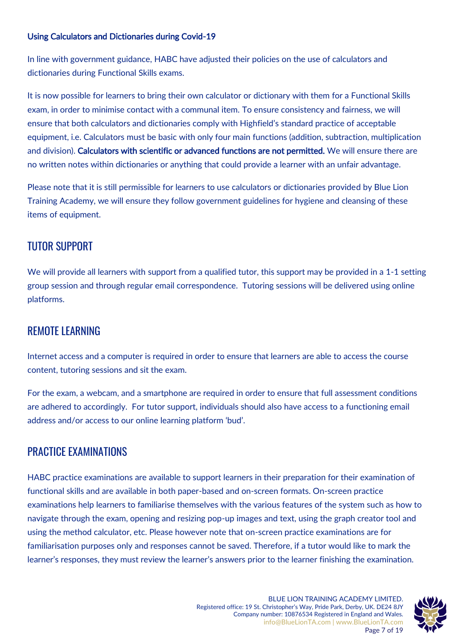### Using Calculators and Dictionaries during Covid-19

In line with government guidance, HABC have adjusted their policies on the use of calculators and dictionaries during Functional Skills exams.

It is now possible for learners to bring their own calculator or dictionary with them for a Functional Skills exam, in order to minimise contact with a communal item. To ensure consistency and fairness, we will ensure that both calculators and dictionaries comply with Highfield's standard practice of acceptable equipment, i.e. Calculators must be basic with only four main functions (addition, subtraction, multiplication and division). Calculators with scientific or advanced functions are not permitted. We will ensure there are no written notes within dictionaries or anything that could provide a learner with an unfair advantage.

Please note that it is still permissible for learners to use calculators or dictionaries provided by Blue Lion Training Academy, we will ensure they follow government guidelines for hygiene and cleansing of these items of equipment.

### <span id="page-6-0"></span>TUTOR SUPPORT

We will provide all learners with support from a qualified tutor, this support may be provided in a 1-1 setting group session and through regular email correspondence. Tutoring sessions will be delivered using online platforms.

### <span id="page-6-1"></span>REMOTE LEARNING

Internet access and a computer is required in order to ensure that learners are able to access the course content, tutoring sessions and sit the exam.

For the exam, a webcam, and a smartphone are required in order to ensure that full assessment conditions are adhered to accordingly. For tutor support, individuals should also have access to a functioning email address and/or access to our online learning platform 'bud'.

### <span id="page-6-2"></span>PRACTICE EXAMINATIONS

HABC practice examinations are available to support learners in their preparation for their examination of functional skills and are available in both paper-based and on-screen formats. On-screen practice examinations help learners to familiarise themselves with the various features of the system such as how to navigate through the exam, opening and resizing pop-up images and text, using the graph creator tool and using the method calculator, etc. Please however note that on-screen practice examinations are for familiarisation purposes only and responses cannot be saved. Therefore, if a tutor would like to mark the learner's responses, they must review the learner's answers prior to the learner finishing the examination.

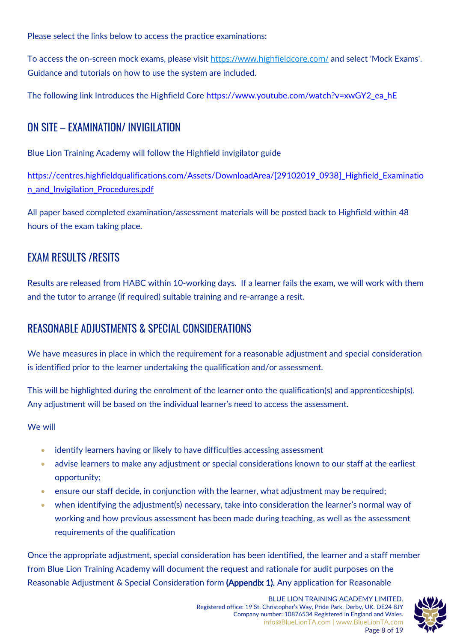Please select the links below to access the practice examinations:

To access the on-screen mock exams, please visit <https://www.highfieldcore.com/> and select 'Mock Exams'. Guidance and tutorials on how to use the system are included.

The following link Introduces the Highfield Core [https://www.youtube.com/watch?v=xwGY2\\_ea\\_hE](https://www.youtube.com/watch?v=xwGY2_ea_hE)

### <span id="page-7-0"></span>ON SITE – EXAMINATION/ INVIGILATION

Blue Lion Training Academy will follow the Highfield invigilator guide

[https://centres.highfieldqualifications.com/Assets/DownloadArea/\[29102019\\_0938\]\\_Highfield\\_Examinatio](https://centres.highfieldqualifications.com/Assets/DownloadArea/%5b29102019_0938%5d_Highfield_Examination_and_Invigilation_Procedures.pdf) [n\\_and\\_Invigilation\\_Procedures.pdf](https://centres.highfieldqualifications.com/Assets/DownloadArea/%5b29102019_0938%5d_Highfield_Examination_and_Invigilation_Procedures.pdf)

All paper based completed examination/assessment materials will be posted back to Highfield within 48 hours of the exam taking place.

### <span id="page-7-1"></span>EXAM RESULTS /RESITS

Results are released from HABC within 10-working days. If a learner fails the exam, we will work with them and the tutor to arrange (if required) suitable training and re-arrange a resit.

### <span id="page-7-2"></span>REASONABLE ADJUSTMENTS & SPECIAL CONSIDERATIONS

We have measures in place in which the requirement for a reasonable adjustment and special consideration is identified prior to the learner undertaking the qualification and/or assessment.

This will be highlighted during the enrolment of the learner onto the qualification(s) and apprenticeship(s). Any adjustment will be based on the individual learner's need to access the assessment.

We will

- identify learners having or likely to have difficulties accessing assessment
- advise learners to make any adjustment or special considerations known to our staff at the earliest opportunity;
- ensure our staff decide, in conjunction with the learner, what adjustment may be required;
- when identifying the adjustment(s) necessary, take into consideration the learner's normal way of working and how previous assessment has been made during teaching, as well as the assessment requirements of the qualification

Once the appropriate adjustment, special consideration has been identified, the learner and a staff member from Blue Lion Training Academy will document the request and rationale for audit purposes on the Reasonable Adjustment & Special Consideration form (Appendix 1). Any application for Reasonable

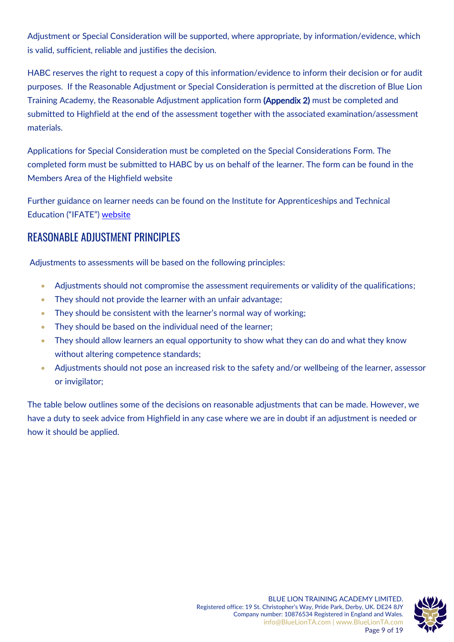Adjustment or Special Consideration will be supported, where appropriate, by information/evidence, which is valid, sufficient, reliable and justifies the decision.

HABC reserves the right to request a copy of this information/evidence to inform their decision or for audit purposes. If the Reasonable Adjustment or Special Consideration is permitted at the discretion of Blue Lion Training Academy, the Reasonable Adjustment application form (Appendix 2) must be completed and submitted to Highfield at the end of the assessment together with the associated examination/assessment materials.

Applications for Special Consideration must be completed on the Special Considerations Form. The completed form must be submitted to HABC by us on behalf of the learner. The form can be found in the Members Area of the Highfield website

Further guidance on learner needs can be found on the Institute for Apprenticeships and Technical Education ("IFATE") [website](https://www.instituteforapprenticeships.org/quality/end-point-assessment-reasonable-adjustments-guidance/)

### <span id="page-8-0"></span>REASONABLE ADJUSTMENT PRINCIPLES

Adjustments to assessments will be based on the following principles:

- Adjustments should not compromise the assessment requirements or validity of the qualifications;
- They should not provide the learner with an unfair advantage;
- They should be consistent with the learner's normal way of working;
- They should be based on the individual need of the learner;
- They should allow learners an equal opportunity to show what they can do and what they know without altering competence standards;
- Adjustments should not pose an increased risk to the safety and/or wellbeing of the learner, assessor or invigilator;

The table below outlines some of the decisions on reasonable adjustments that can be made. However, we have a duty to seek advice from Highfield in any case where we are in doubt if an adjustment is needed or how it should be applied.

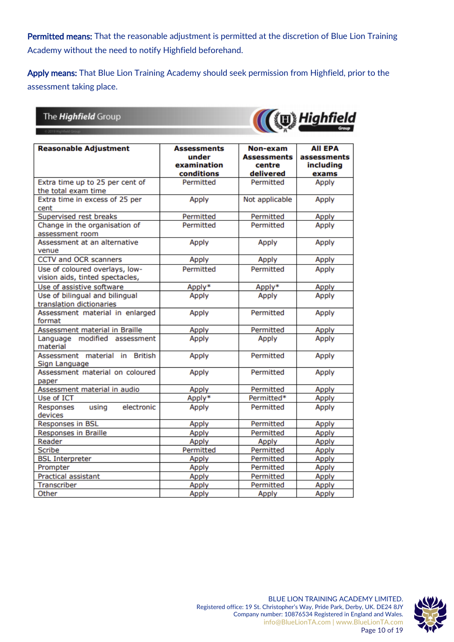Permitted means: That the reasonable adjustment is permitted at the discretion of Blue Lion Training Academy without the need to notify Highfield beforehand.

Apply means: That Blue Lion Training Academy should seek permission from Highfield, prior to the assessment taking place.

### The *Highfield* Group



<span id="page-9-0"></span>

| <b>Reasonable Adjustment</b>             | <b>Assessments</b>        | Non-exam               | <b>All EPA</b>     |
|------------------------------------------|---------------------------|------------------------|--------------------|
|                                          | under                     | <b>Assessments</b>     | assessments        |
|                                          | examination<br>conditions | centre<br>delivered    | including<br>exams |
| Extra time up to 25 per cent of          | Permitted                 | Permitted              | Apply              |
| the total exam time                      |                           |                        |                    |
| Extra time in excess of 25 per           | Apply                     | Not applicable         | Apply              |
| cent                                     |                           |                        |                    |
| Supervised rest breaks                   | Permitted                 | Permitted              | Apply              |
| Change in the organisation of            | Permitted                 | Permitted              | Apply              |
| assessment room                          |                           |                        |                    |
| Assessment at an alternative             | Apply                     | Apply                  | Apply              |
| venue                                    |                           |                        |                    |
| CCTV and OCR scanners                    | Apply                     | Apply                  | Apply              |
| Use of coloured overlays, low-           | Permitted                 | Permitted              | Apply              |
| vision aids, tinted spectacles,          |                           |                        |                    |
| Use of assistive software                | Apply*                    | Apply*                 | Apply              |
| Use of bilingual and bilingual           | Apply                     | Apply                  | Apply              |
| translation dictionaries                 |                           |                        |                    |
| Assessment material in enlarged          | Apply                     | Permitted              | Apply              |
| format                                   |                           |                        |                    |
| Assessment material in Braille           | Apply                     | Permitted              | Apply              |
| Language modified assessment<br>material | Apply                     | Apply                  | Apply              |
| <b>British</b><br>Assessment material in | Apply                     | Permitted              | Apply              |
| Sign Language                            |                           |                        |                    |
| Assessment material on coloured          | Apply                     | Permitted              | Apply              |
| paper                                    |                           |                        |                    |
| Assessment material in audio             | Apply                     | Permitted              | Apply              |
| Use of ICT                               | Apply*                    | Permitted*             | Apply              |
| using<br>electronic<br>Responses         | Apply                     | Permitted              | Apply              |
| devices                                  |                           |                        |                    |
| <b>Responses in BSL</b>                  | Apply                     | Permitted              | Apply              |
| Responses in Braille                     | Apply                     | Permitted              | Apply              |
| Reader<br>Scribe                         | Apply                     | Apply                  | Apply              |
|                                          | Permitted                 | Permitted<br>Permitted | Apply              |
| <b>BSL Interpreter</b>                   | Apply                     | Permitted              | Apply              |
| Prompter<br>Practical assistant          | Apply                     |                        | Apply              |
| Transcriber                              | Apply                     | Permitted<br>Permitted | Apply              |
| Other                                    | Apply<br>Apply            |                        | Apply<br>Apply     |
|                                          |                           | Apply                  |                    |

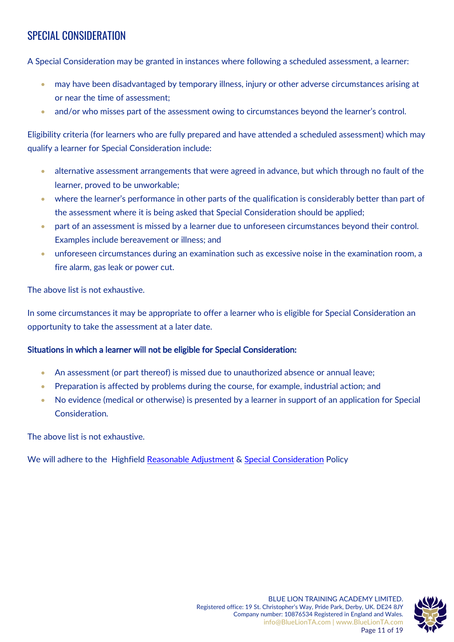# SPECIAL CONSIDERATION

A Special Consideration may be granted in instances where following a scheduled assessment, a learner:

- may have been disadvantaged by temporary illness, injury or other adverse circumstances arising at or near the time of assessment;
- and/or who misses part of the assessment owing to circumstances beyond the learner's control.

Eligibility criteria (for learners who are fully prepared and have attended a scheduled assessment) which may qualify a learner for Special Consideration include:

- alternative assessment arrangements that were agreed in advance, but which through no fault of the learner, proved to be unworkable;
- where the learner's performance in other parts of the qualification is considerably better than part of the assessment where it is being asked that Special Consideration should be applied;
- part of an assessment is missed by a learner due to unforeseen circumstances beyond their control. Examples include bereavement or illness; and
- unforeseen circumstances during an examination such as excessive noise in the examination room, a fire alarm, gas leak or power cut.

The above list is not exhaustive.

In some circumstances it may be appropriate to offer a learner who is eligible for Special Consideration an opportunity to take the assessment at a later date.

#### Situations in which a learner will not be eligible for Special Consideration:

- An assessment (or part thereof) is missed due to unauthorized absence or annual leave;
- Preparation is affected by problems during the course, for example, industrial action; and
- No evidence (medical or otherwise) is presented by a learner in support of an application for Special Consideration.

The above list is not exhaustive.

We will adhere to the Highfield [Reasonable Adjustment](https://centres.highfieldqualifications.com/Assets/DownloadArea/%5b14052021_1224%5d_Highfield_Reasonable_Adjustments_Policy.pdf) & [Special Consideration](https://centres.highfieldqualifications.com/Assets/DownloadArea/%5b06042020_1644%5d_Highfield_Special_Consideration_Policy.pdf) Policy

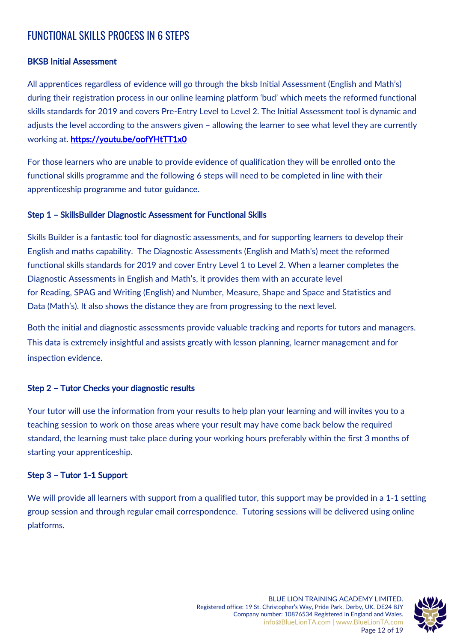### <span id="page-11-0"></span>FUNCTIONAL SKILLS PROCESS IN 6 STEPS

### BKSB Initial Assessment

All apprentices regardless of evidence will go through the bksb Initial Assessment (English and Math's) during their registration process in our online learning platform 'bud' which meets the reformed functional skills standards for 2019 and covers Pre-Entry Level to Level 2. The Initial Assessment tool is dynamic and adjusts the level according to the answers given – allowing the learner to see what level they are currently working at. <https://youtu.be/oofYHtTT1x0>

For those learners who are unable to provide evidence of qualification they will be enrolled onto the functional skills programme and the following 6 steps will need to be completed in line with their apprenticeship programme and tutor guidance.

#### Step 1 – SkillsBuilder Diagnostic Assessment for Functional Skills

Skills Builder is a fantastic tool for diagnostic assessments, and for supporting learners to develop their English and maths capability. The Diagnostic Assessments (English and Math's) meet the [reformed](https://www.bksb.co.uk/functional-skills-reforms/)  [functional skills](https://www.bksb.co.uk/functional-skills-reforms/) standards for 2019 and cover Entry Level 1 to Level 2. When a learner completes the Diagnostic Assessments in English and Math's, it provides them with an accurate level for Reading, SPAG and Writing (English) and Number, Measure, Shape and Space and Statistics and Data (Math's). It also shows the distance they are from progressing to the next level.

Both the initial and diagnostic assessments provide valuable tracking and reports for tutors and managers. This data is extremely insightful and assists greatly with lesson planning, learner management and for inspection evidence.

#### Step 2 – Tutor Checks your diagnostic results

Your tutor will use the information from your results to help plan your learning and will invites you to a teaching session to work on those areas where your result may have come back below the required standard, the learning must take place during your working hours preferably within the first 3 months of starting your apprenticeship.

#### Step 3 – Tutor 1-1 Support

We will provide all learners with support from a qualified tutor, this support may be provided in a 1-1 setting group session and through regular email correspondence. Tutoring sessions will be delivered using online platforms.

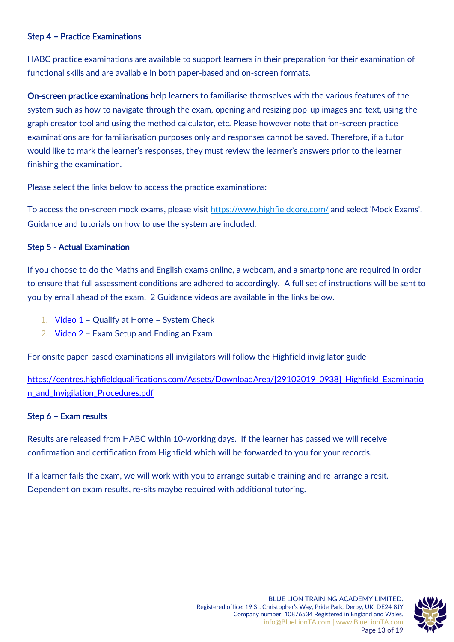#### Step 4 – Practice Examinations

HABC practice examinations are available to support learners in their preparation for their examination of functional skills and are available in both paper-based and on-screen formats.

On-screen practice examinations help learners to familiarise themselves with the various features of the system such as how to navigate through the exam, opening and resizing pop-up images and text, using the graph creator tool and using the method calculator, etc. Please however note that on-screen practice examinations are for familiarisation purposes only and responses cannot be saved. Therefore, if a tutor would like to mark the learner's responses, they must review the learner's answers prior to the learner finishing the examination.

Please select the links below to access the practice examinations:

To access the on-screen mock exams, please visit <https://www.highfieldcore.com/> and select 'Mock Exams'. Guidance and tutorials on how to use the system are included.

#### Step 5 - Actual Examination

If you choose to do the Maths and English exams online, a webcam, and a smartphone are required in order to ensure that full assessment conditions are adhered to accordingly. A full set of instructions will be sent to you by email ahead of the exam. 2 Guidance videos are available in the links below.

- 1. [Video 1](https://www.youtube.com/watch?v=vFW18nsTMJ0) Qualify at Home System Check
- 2. [Video 2](https://www.youtube.com/watch?v=r3HBQ1kE020) Exam Setup and Ending an Exam

For onsite paper-based examinations all invigilators will follow the Highfield invigilator guide

https://centres.highfieldqualifications.com/Assets/DownloadArea/[29102019\_0938] Highfield Examinatio [n\\_and\\_Invigilation\\_Procedures.pdf](https://centres.highfieldqualifications.com/Assets/DownloadArea/%5b29102019_0938%5d_Highfield_Examination_and_Invigilation_Procedures.pdf)

#### Step 6 – Exam results

Results are released from HABC within 10-working days. If the learner has passed we will receive confirmation and certification from Highfield which will be forwarded to you for your records.

<span id="page-12-0"></span>If a learner fails the exam, we will work with you to arrange suitable training and re-arrange a resit. Dependent on exam results, re-sits maybe required with additional tutoring.

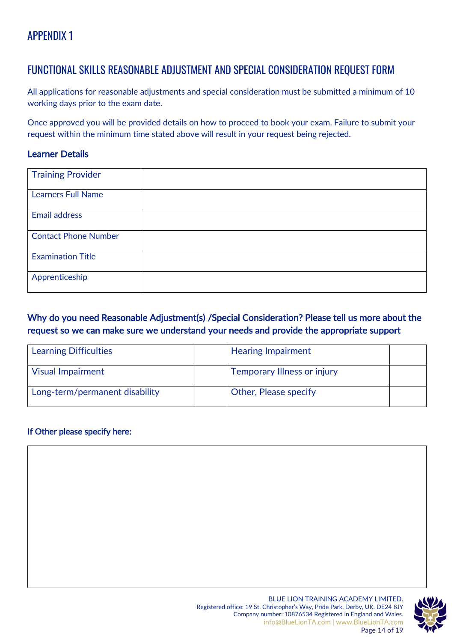# APPENDIX 1

### FUNCTIONAL SKILLS REASONABLE ADJUSTMENT AND SPECIAL CONSIDERATION REQUEST FORM

All applications for reasonable adjustments and special consideration must be submitted a minimum of 10 working days prior to the exam date.

Once approved you will be provided details on how to proceed to book your exam. Failure to submit your request within the minimum time stated above will result in your request being rejected.

### Learner Details

| <b>Training Provider</b>    |  |
|-----------------------------|--|
| <b>Learners Full Name</b>   |  |
| <b>Email address</b>        |  |
| <b>Contact Phone Number</b> |  |
| <b>Examination Title</b>    |  |
| Apprenticeship              |  |

### Why do you need Reasonable Adjustment(s) /Special Consideration? Please tell us more about the request so we can make sure we understand your needs and provide the appropriate support

| <b>Learning Difficulties</b>   | <b>Hearing Impairment</b>          |  |
|--------------------------------|------------------------------------|--|
| <b>Visual Impairment</b>       | <b>Temporary Illness or injury</b> |  |
| Long-term/permanent disability | <b>Other, Please specify</b>       |  |

### If Other please specify here:



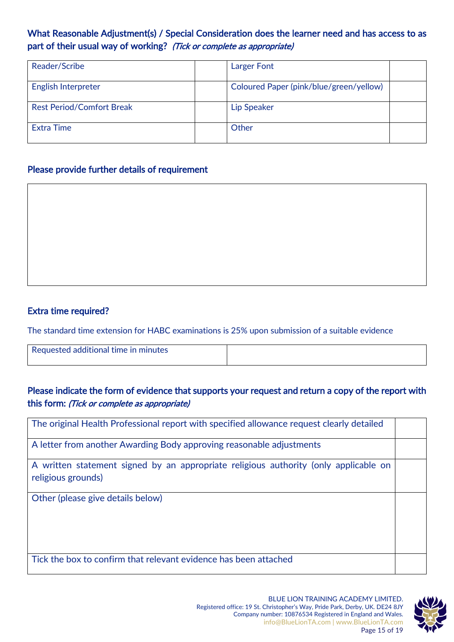### What Reasonable Adjustment(s) / Special Consideration does the learner need and has access to as part of their usual way of working? (Tick or complete as appropriate)

| Reader/Scribe                    | <b>Larger Font</b>                      |  |
|----------------------------------|-----------------------------------------|--|
| English Interpreter              | Coloured Paper (pink/blue/green/yellow) |  |
| <b>Rest Period/Comfort Break</b> | Lip Speaker                             |  |
| Extra Time                       | Other                                   |  |

### Please provide further details of requirement

### Extra time required?

The standard time extension for HABC examinations is 25% upon submission of a suitable evidence

Requested additional time in minutes

### Please indicate the form of evidence that supports your request and return a copy of the report with this form: (Tick or complete as appropriate)

| The original Health Professional report with specified allowance request clearly detailed                  |  |
|------------------------------------------------------------------------------------------------------------|--|
| A letter from another Awarding Body approving reasonable adjustments                                       |  |
| A written statement signed by an appropriate religious authority (only applicable on<br>religious grounds) |  |
| Other (please give details below)                                                                          |  |

Tick the box to confirm that relevant evidence has been attached

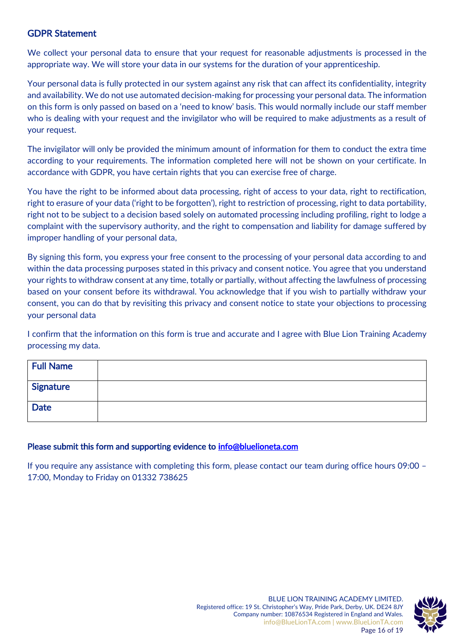### GDPR Statement

We collect your personal data to ensure that your request for reasonable adjustments is processed in the appropriate way. We will store your data in our systems for the duration of your apprenticeship.

Your personal data is fully protected in our system against any risk that can affect its confidentiality, integrity and availability. We do not use automated decision-making for processing your personal data. The information on this form is only passed on based on a 'need to know' basis. This would normally include our staff member who is dealing with your request and the invigilator who will be required to make adjustments as a result of your request.

The invigilator will only be provided the minimum amount of information for them to conduct the extra time according to your requirements. The information completed here will not be shown on your certificate. In accordance with GDPR, you have certain rights that you can exercise free of charge.

You have the right to be informed about data processing, right of access to your data, right to rectification, right to erasure of your data ('right to be forgotten'), right to restriction of processing, right to data portability, right not to be subject to a decision based solely on automated processing including profiling, right to lodge a complaint with the supervisory authority, and the right to compensation and liability for damage suffered by improper handling of your personal data,

By signing this form, you express your free consent to the processing of your personal data according to and within the data processing purposes stated in this privacy and consent notice. You agree that you understand your rights to withdraw consent at any time, totally or partially, without affecting the lawfulness of processing based on your consent before its withdrawal. You acknowledge that if you wish to partially withdraw your consent, you can do that by revisiting this privacy and consent notice to state your objections to processing your personal data

I confirm that the information on this form is true and accurate and I agree with Blue Lion Training Academy processing my data.

| <b>Full Name</b> |  |
|------------------|--|
| <b>Signature</b> |  |
| <b>Date</b>      |  |

#### Please submit this form and supporting evidence to info@bluelioneta.com

If you require any assistance with completing this form, please contact our team during office hours 09:00 – 17:00, Monday to Friday on 01332 738625



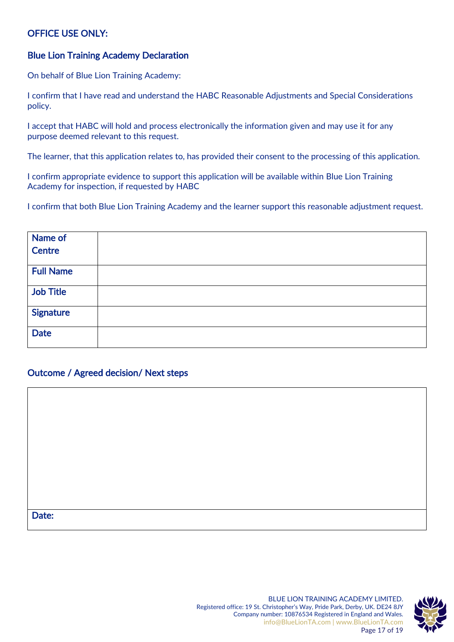### OFFICE USE ONLY:

#### Blue Lion Training Academy Declaration

On behalf of Blue Lion Training Academy:

I confirm that I have read and understand the HABC Reasonable Adjustments and Special Considerations policy.

I accept that HABC will hold and process electronically the information given and may use it for any purpose deemed relevant to this request.

The learner, that this application relates to, has provided their consent to the processing of this application.

I confirm appropriate evidence to support this application will be available within Blue Lion Training Academy for inspection, if requested by HABC

I confirm that both Blue Lion Training Academy and the learner support this reasonable adjustment request.

| Name of          |  |
|------------------|--|
| Centre           |  |
|                  |  |
| <b>Full Name</b> |  |
|                  |  |
| <b>Job Title</b> |  |
| <b>Signature</b> |  |
|                  |  |
| <b>Date</b>      |  |
|                  |  |

### Outcome / Agreed decision/ Next steps

#### Date:

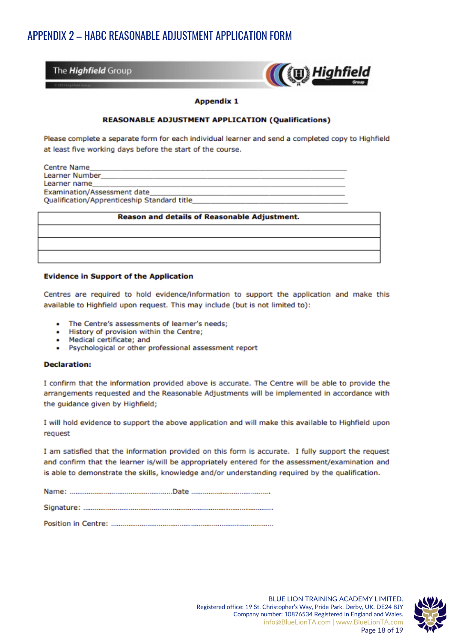### <span id="page-17-0"></span>APPENDIX 2 - HABC REASONABLE ADJUSTMENT APPLICATION FORM

The *Highfield* Group



#### **Appendix 1**

#### **REASONABLE ADJUSTMENT APPLICATION (Qualifications)**

Please complete a separate form for each individual learner and send a completed copy to Highfield at least five working days before the start of the course.

**Centre Name** Learner Number Learner name **Examination/Assessment date** Qualification/Apprenticeship Standard title

#### **Reason and details of Reasonable Adjustment.**

#### **Evidence in Support of the Application**

Centres are required to hold evidence/information to support the application and make this available to Highfield upon request. This may include (but is not limited to):

- The Centre's assessments of learner's needs:  $\bullet$
- History of provision within the Centre:
- Medical certificate; and
- Psychological or other professional assessment report

#### **Declaration:**

I confirm that the information provided above is accurate. The Centre will be able to provide the arrangements requested and the Reasonable Adjustments will be implemented in accordance with the guidance given by Highfield;

I will hold evidence to support the above application and will make this available to Highfield upon request

I am satisfied that the information provided on this form is accurate. I fully support the request and confirm that the learner is/will be appropriately entered for the assessment/examination and is able to demonstrate the skills, knowledge and/or understanding required by the qualification.